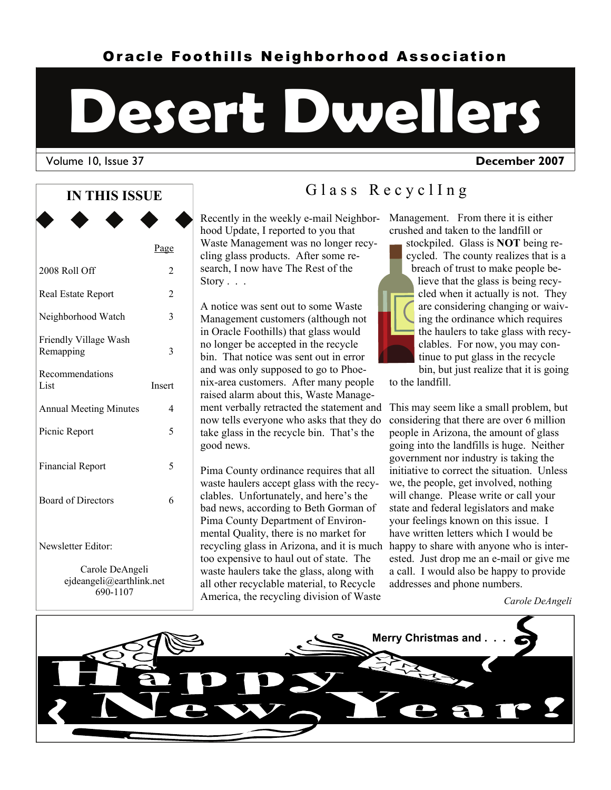# Oracle Foothills Neighborhood Association

# **Desert Dwellers**

#### Volume 10, Issue 37 **December 2007**

#### **IN THIS ISSUE**

|                                       | Page           |
|---------------------------------------|----------------|
| 2008 Roll Off                         | 2              |
| Real Estate Report                    | $\overline{2}$ |
| Neighborhood Watch                    | 3              |
| Friendly Village Wash<br>Remapping    | 3              |
| Recommendations<br>List               | Insert         |
| <b>Annual Meeting Minutes</b>         | 4              |
| Picnic Report                         | 5              |
| <b>Financial Report</b>               | 5              |
| <b>Board of Directors</b>             | 6              |
| Newsletter Editor:<br>Carole DeAngeli |                |

ejdeangeli@earthlink.net 690-1107

# Glass RecyclIng

Recently in the weekly e-mail Neighborhood Update, I reported to you that Waste Management was no longer recycling glass products. After some research, I now have The Rest of the Story . . .

A notice was sent out to some Waste Management customers (although not in Oracle Foothills) that glass would no longer be accepted in the recycle bin. That notice was sent out in error and was only supposed to go to Phoenix-area customers. After many people raised alarm about this, Waste Management verbally retracted the statement and This may seem like a small problem, but now tells everyone who asks that they do take glass in the recycle bin. That's the good news.

Pima County ordinance requires that all waste haulers accept glass with the recyclables. Unfortunately, and here's the bad news, according to Beth Gorman of Pima County Department of Environmental Quality, there is no market for recycling glass in Arizona, and it is much happy to share with anyone who is intertoo expensive to haul out of state. The waste haulers take the glass, along with all other recyclable material, to Recycle America, the recycling division of Waste

#### Management. From there it is either crushed and taken to the landfill or

stockpiled. Glass is **NOT** being recycled. The county realizes that is a breach of trust to make people believe that the glass is being recycled when it actually is not. They are considering changing or waiving the ordinance which requires the haulers to take glass with recyclables. For now, you may continue to put glass in the recycle bin, but just realize that it is going

to the landfill.

considering that there are over 6 million people in Arizona, the amount of glass going into the landfills is huge. Neither government nor industry is taking the initiative to correct the situation. Unless we, the people, get involved, nothing will change. Please write or call your state and federal legislators and make your feelings known on this issue. I have written letters which I would be ested. Just drop me an e-mail or give me a call. I would also be happy to provide addresses and phone numbers.

*Carole DeAngeli* 

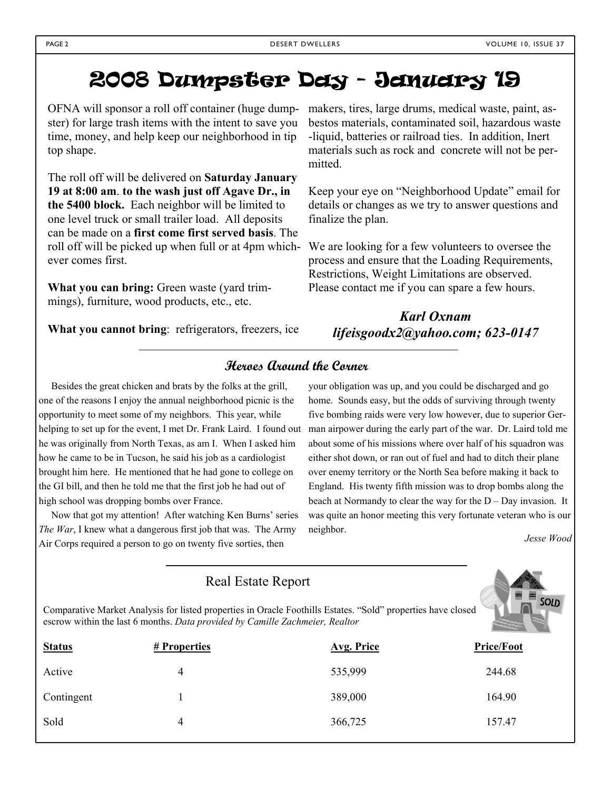# 2008 Dumpster Day - January 19

OFNA will sponsor a roll off container (huge dumpster) for large trash items with the intent to save you time, money, and help keep our neighborhood in tip top shape.

The roll off will be delivered on **Saturday January 19 at 8:00 am**. **to the wash just off Agave Dr., in the 5400 block.** Each neighbor will be limited to one level truck or small trailer load. All deposits can be made on a **first come first served basis**. The roll off will be picked up when full or at 4pm whichever comes first.

**What you can bring:** Green waste (yard trimmings), furniture, wood products, etc., etc.

**What you cannot bring**: refrigerators, freezers, ice

makers, tires, large drums, medical waste, paint, asbestos materials, contaminated soil, hazardous waste -liquid, batteries or railroad ties. In addition, Inert materials such as rock and concrete will not be permitted.

Keep your eye on "Neighborhood Update" email for details or changes as we try to answer questions and finalize the plan.

We are looking for a few volunteers to oversee the process and ensure that the Loading Requirements, Restrictions, Weight Limitations are observed. Please contact me if you can spare a few hours.

## *Karl Oxnam lifeisgoodx2@yahoo.com; 623-0147*

### **Heroes Around the Corner**

 Besides the great chicken and brats by the folks at the grill, one of the reasons I enjoy the annual neighborhood picnic is the opportunity to meet some of my neighbors. This year, while helping to set up for the event, I met Dr. Frank Laird. I found out he was originally from North Texas, as am I. When I asked him how he came to be in Tucson, he said his job as a cardiologist brought him here. He mentioned that he had gone to college on the GI bill, and then he told me that the first job he had out of high school was dropping bombs over France.

 Now that got my attention! After watching Ken Burns' series *The War*, I knew what a dangerous first job that was. The Army Air Corps required a person to go on twenty five sorties, then

your obligation was up, and you could be discharged and go home. Sounds easy, but the odds of surviving through twenty five bombing raids were very low however, due to superior German airpower during the early part of the war. Dr. Laird told me about some of his missions where over half of his squadron was either shot down, or ran out of fuel and had to ditch their plane over enemy territory or the North Sea before making it back to England. His twenty fifth mission was to drop bombs along the beach at Normandy to clear the way for the D – Day invasion. It was quite an honor meeting this very fortunate veteran who is our neighbor.

*Jesse Wood* 

|                                                                                                                                                                                                      | <b>IWAI LORAL INPOIL</b> |            |                   |  |  |
|------------------------------------------------------------------------------------------------------------------------------------------------------------------------------------------------------|--------------------------|------------|-------------------|--|--|
| SOLD<br>Comparative Market Analysis for listed properties in Oracle Foothills Estates. "Sold" properties have closed<br>escrow within the last 6 months. Data provided by Camille Zachmeier, Realtor |                          |            |                   |  |  |
| <b>Status</b>                                                                                                                                                                                        | # Properties             | Avg. Price | <b>Price/Foot</b> |  |  |
| Active                                                                                                                                                                                               | 4                        | 535,999    | 244.68            |  |  |
| Contingent                                                                                                                                                                                           |                          | 389,000    | 164.90            |  |  |
| Sold                                                                                                                                                                                                 | 4                        | 366,725    | 157.47            |  |  |

Real Estate Report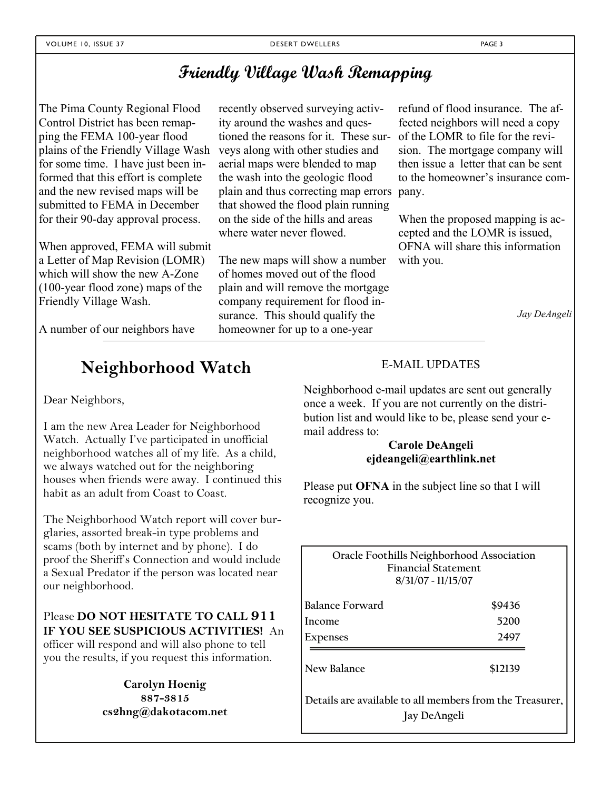# **Friendly Village Wash Remapping**

The Pima County Regional Flood Control District has been remapping the FEMA 100-year flood plains of the Friendly Village Wash for some time. I have just been informed that this effort is complete and the new revised maps will be submitted to FEMA in December for their 90-day approval process.

When approved, FEMA will submit a Letter of Map Revision (LOMR) which will show the new A-Zone (100-year flood zone) maps of the Friendly Village Wash.

A number of our neighbors have

recently observed surveying activity around the washes and questioned the reasons for it. These surveys along with other studies and aerial maps were blended to map the wash into the geologic flood plain and thus correcting map errors that showed the flood plain running on the side of the hills and areas where water never flowed.

The new maps will show a number of homes moved out of the flood plain and will remove the mortgage company requirement for flood insurance. This should qualify the homeowner for up to a one-year

refund of flood insurance. The affected neighbors will need a copy of the LOMR to file for the revision. The mortgage company will then issue a letter that can be sent to the homeowner's insurance company.

When the proposed mapping is accepted and the LOMR is issued, OFNA will share this information with you.

*Jay DeAngeli* 

# **Neighborhood Watch**

Dear Neighbors,

I am the new Area Leader for Neighborhood Watch. Actually I've participated in unofficial neighborhood watches all of my life. As a child, we always watched out for the neighboring houses when friends were away. I continued this habit as an adult from Coast to Coast.

The Neighborhood Watch report will cover burglaries, assorted break-in type problems and scams (both by internet and by phone). I do proof the Sheriff's Connection and would include a Sexual Predator if the person was located near our neighborhood.

#### Please **DO NOT HESITATE TO CALL 911 IF YOU SEE SUSPICIOUS ACTIVITIES!** An officer will respond and will also phone to tell you the results, if you request this information.

**Carolyn Hoenig 887-3815 cs2hng@dakotacom.net**

#### E-MAIL UPDATES

Neighborhood e-mail updates are sent out generally once a week. If you are not currently on the distribution list and would like to be, please send your email address to:

#### **Carole DeAngeli ejdeangeli@earthlink.net**

Please put **OFNA** in the subject line so that I will recognize you.

**Oracle Foothills Neighborhood Association Financial Statement 8/31/07 ~ 11/15/07** 

| Balance Forward | \$9436 |
|-----------------|--------|
| Income          | 5200   |
| Expenses        | 2497   |

**New Balance \$12139** 

**Details are available to all members from the Treasurer, Jay DeAngeli**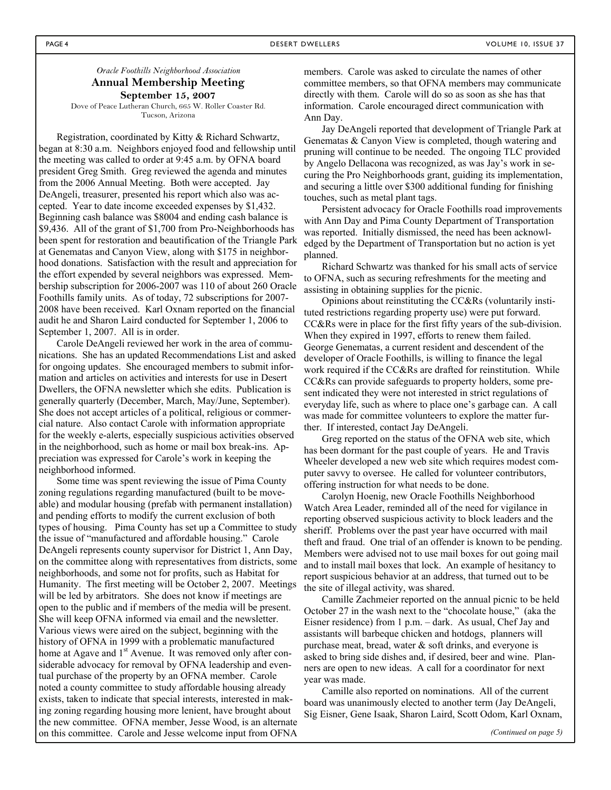#### *Oracle Foothills Neighborhood Association*  **Annual Membership Meeting September 15, 2007**

Dove of Peace Lutheran Church, 665 W. Roller Coaster Rd. Tucson, Arizona

Registration, coordinated by Kitty & Richard Schwartz, began at 8:30 a.m. Neighbors enjoyed food and fellowship until the meeting was called to order at 9:45 a.m. by OFNA board president Greg Smith. Greg reviewed the agenda and minutes from the 2006 Annual Meeting. Both were accepted. Jay DeAngeli, treasurer, presented his report which also was accepted. Year to date income exceeded expenses by \$1,432. Beginning cash balance was \$8004 and ending cash balance is \$9,436. All of the grant of \$1,700 from Pro-Neighborhoods has been spent for restoration and beautification of the Triangle Park at Genematas and Canyon View, along with \$175 in neighborhood donations. Satisfaction with the result and appreciation for the effort expended by several neighbors was expressed. Membership subscription for 2006-2007 was 110 of about 260 Oracle Foothills family units. As of today, 72 subscriptions for 2007- 2008 have been received. Karl Oxnam reported on the financial audit he and Sharon Laird conducted for September 1, 2006 to September 1, 2007. All is in order.

Carole DeAngeli reviewed her work in the area of communications. She has an updated Recommendations List and asked for ongoing updates. She encouraged members to submit information and articles on activities and interests for use in Desert Dwellers, the OFNA newsletter which she edits. Publication is generally quarterly (December, March, May/June, September). She does not accept articles of a political, religious or commercial nature. Also contact Carole with information appropriate for the weekly e-alerts, especially suspicious activities observed in the neighborhood, such as home or mail box break-ins. Appreciation was expressed for Carole's work in keeping the neighborhood informed.

Some time was spent reviewing the issue of Pima County zoning regulations regarding manufactured (built to be moveable) and modular housing (prefab with permanent installation) and pending efforts to modify the current exclusion of both types of housing. Pima County has set up a Committee to study the issue of "manufactured and affordable housing." Carole DeAngeli represents county supervisor for District 1, Ann Day, on the committee along with representatives from districts, some neighborhoods, and some not for profits, such as Habitat for Humanity. The first meeting will be October 2, 2007. Meetings will be led by arbitrators. She does not know if meetings are open to the public and if members of the media will be present. She will keep OFNA informed via email and the newsletter. Various views were aired on the subject, beginning with the history of OFNA in 1999 with a problematic manufactured home at Agave and 1<sup>st</sup> Avenue. It was removed only after considerable advocacy for removal by OFNA leadership and eventual purchase of the property by an OFNA member. Carole noted a county committee to study affordable housing already exists, taken to indicate that special interests, interested in making zoning regarding housing more lenient, have brought about the new committee. OFNA member, Jesse Wood, is an alternate on this committee. Carole and Jesse welcome input from OFNA

members. Carole was asked to circulate the names of other committee members, so that OFNA members may communicate directly with them. Carole will do so as soon as she has that information. Carole encouraged direct communication with Ann Day.

Jay DeAngeli reported that development of Triangle Park at Genematas & Canyon View is completed, though watering and pruning will continue to be needed. The ongoing TLC provided by Angelo Dellacona was recognized, as was Jay's work in securing the Pro Neighborhoods grant, guiding its implementation, and securing a little over \$300 additional funding for finishing touches, such as metal plant tags.

Persistent advocacy for Oracle Foothills road improvements with Ann Day and Pima County Department of Transportation was reported. Initially dismissed, the need has been acknowledged by the Department of Transportation but no action is yet planned.

Richard Schwartz was thanked for his small acts of service to OFNA, such as securing refreshments for the meeting and assisting in obtaining supplies for the picnic.

Opinions about reinstituting the CC&Rs (voluntarily instituted restrictions regarding property use) were put forward. CC&Rs were in place for the first fifty years of the sub-division. When they expired in 1997, efforts to renew them failed. George Genematas, a current resident and descendent of the developer of Oracle Foothills, is willing to finance the legal work required if the CC&Rs are drafted for reinstitution. While CC&Rs can provide safeguards to property holders, some present indicated they were not interested in strict regulations of everyday life, such as where to place one's garbage can. A call was made for committee volunteers to explore the matter further. If interested, contact Jay DeAngeli.

Greg reported on the status of the OFNA web site, which has been dormant for the past couple of years. He and Travis Wheeler developed a new web site which requires modest computer savvy to oversee. He called for volunteer contributors, offering instruction for what needs to be done.

Carolyn Hoenig, new Oracle Foothills Neighborhood Watch Area Leader, reminded all of the need for vigilance in reporting observed suspicious activity to block leaders and the sheriff. Problems over the past year have occurred with mail theft and fraud. One trial of an offender is known to be pending. Members were advised not to use mail boxes for out going mail and to install mail boxes that lock. An example of hesitancy to report suspicious behavior at an address, that turned out to be the site of illegal activity, was shared.

Camille Zachmeier reported on the annual picnic to be held October 27 in the wash next to the "chocolate house," (aka the Eisner residence) from 1 p.m. – dark. As usual, Chef Jay and assistants will barbeque chicken and hotdogs, planners will purchase meat, bread, water & soft drinks, and everyone is asked to bring side dishes and, if desired, beer and wine. Planners are open to new ideas. A call for a coordinator for next year was made.

Camille also reported on nominations. All of the current board was unanimously elected to another term (Jay DeAngeli, Sig Eisner, Gene Isaak, Sharon Laird, Scott Odom, Karl Oxnam,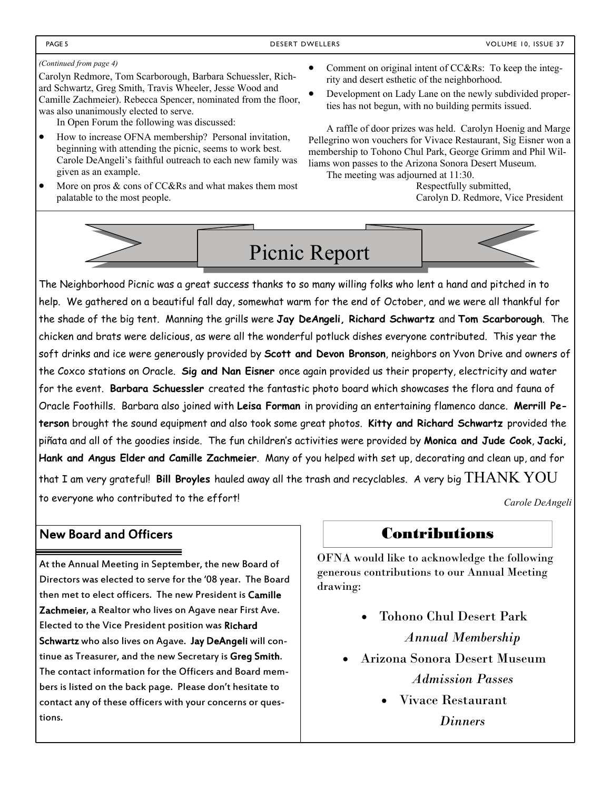#### *(Continued from page 4)*

Carolyn Redmore, Tom Scarborough, Barbara Schuessler, Richard Schwartz, Greg Smith, Travis Wheeler, Jesse Wood and Camille Zachmeier). Rebecca Spencer, nominated from the floor, was also unanimously elected to serve.

In Open Forum the following was discussed:

- How to increase OFNA membership? Personal invitation, beginning with attending the picnic, seems to work best. Carole DeAngeli's faithful outreach to each new family was given as an example.
- More on pros  $&$  cons of CC&Rs and what makes them most palatable to the most people.
	-
- Comment on original intent of CC&Rs: To keep the integrity and desert esthetic of the neighborhood.
- Development on Lady Lane on the newly subdivided properties has not begun, with no building permits issued.

A raffle of door prizes was held. Carolyn Hoenig and Marge Pellegrino won vouchers for Vivace Restaurant, Sig Eisner won a membership to Tohono Chul Park, George Grimm and Phil Williams won passes to the Arizona Sonora Desert Museum.

The meeting was adjourned at 11:30.

 Respectfully submitted, Carolyn D. Redmore, Vice President



The Neighborhood Picnic was a great success thanks to so many willing folks who lent a hand and pitched in to help. We gathered on a beautiful fall day, somewhat warm for the end of October, and we were all thankful for the shade of the big tent. Manning the grills were **Jay DeAngeli, Richard Schwartz** and **Tom Scarborough**. The chicken and brats were delicious, as were all the wonderful potluck dishes everyone contributed. This year the soft drinks and ice were generously provided by **Scott and Devon Bronson**, neighbors on Yvon Drive and owners of the Coxco stations on Oracle. **Sig and Nan Eisner** once again provided us their property, electricity and water for the event. **Barbara Schuessler** created the fantastic photo board which showcases the flora and fauna of Oracle Foothills. Barbara also joined with **Leisa Forman** in providing an entertaining flamenco dance. **Merrill Peterson** brought the sound equipment and also took some great photos. **Kitty and Richard Schwartz** provided the piñata and all of the goodies inside. The fun children's activities were provided by **Monica and Jude Cook**, **Jacki, Hank and Angus Elder and Camille Zachmeier**. Many of you helped with set up, decorating and clean up, and for

that I am very grateful! **Bill Broyles** hauled away all the trash and recyclables. A very big THANK YOU to everyone who contributed to the effort! *Carole DeAngeli* 

## New Board and Officers

At the Annual Meeting in September, the new Board of Directors was elected to serve for the '08 year. The Board then met to elect officers. The new President is Camille Zachmeier, a Realtor who lives on Agave near First Ave. Elected to the Vice President position was Richard Schwartz who also lives on Agave. Jay DeAngeli will continue as Treasurer, and the new Secretary is Greg Smith. The contact information for the Officers and Board members is listed on the back page. Please don't hesitate to contact any of these officers with your concerns or questions.

## Contributions

OFNA would like to acknowledge the following generous contributions to our Annual Meeting drawing:

- Tohono Chul Desert Park *Annual Membership*
- Arizona Sonora Desert Museum *Admission Passes*
	- Vivace Restaurant *Dinners*